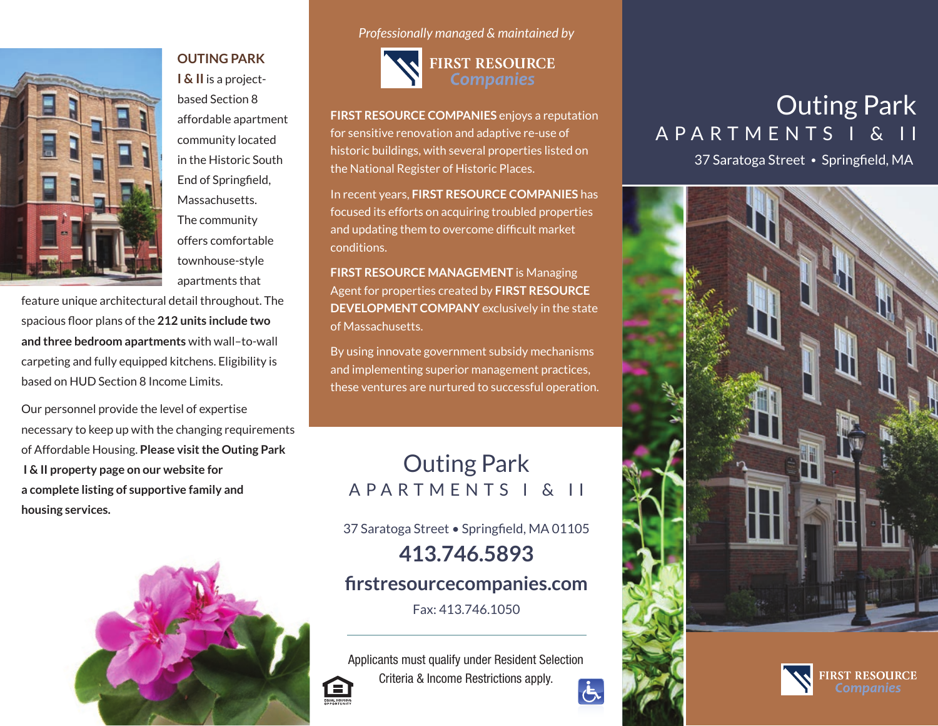

**OUTING PARK I & II** is a projectbased Section 8 affordable apartment community located in the Historic South End of Springfield, Massachusetts. The community offers comfortable townhouse-style apartments that

feature unique architectural detail throughout. The spacious floor plans of the **212 units include two and three bedroom apartments** with wall–to-wall carpeting and fully equipped kitchens. Eligibility is based on HUD Section 8 Income Limits.

Our personnel provide the level of expertise necessary to keep up with the changing requirements of Affordable Housing. **Please visit the Outing Park I & II property page on our website for a complete listing of supportive family and housing services.**



*Professionally managed & maintained by*



**FIRST RESOURCE COMPANIES** enjoys a reputation for sensitive renovation and adaptive re-use of historic buildings, with several properties listed on the National Register of Historic Places.

In recent years, **FIRST RESOURCE COMPANIES** has focused its efforts on acquiring troubled properties and updating them to overcome difficult market conditions.

**FIRST RESOURCE MANAGEMENT** is Managing Agent for properties created by **FIRST RESOURCE DEVELOPMENT COMPANY** exclusively in the state of Massachusetts.

By using innovate government subsidy mechanisms and implementing superior management practices, these ventures are nurtured to successful operation.

## Outing Park APARTMENTS I & II

37 Saratoga Street • Springfield, MA 01105

**413.746.5893**

**firstresourcecompanies.com**

Fax: 413.746.1050

Applicants must qualify under Resident Selection Criteria & Income Restrictions apply. EQUAL HOUSING  $\dot{\bm{\sigma}}$ 

# Outing Park APARTMENTS I & II

37 Saratoga Street • Springfield, MA